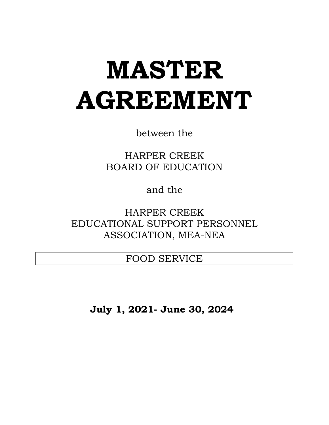# **MASTER AGREEMENT**

between the

HARPER CREEK BOARD OF EDUCATION

and the

HARPER CREEK EDUCATIONAL SUPPORT PERSONNEL ASSOCIATION, MEA-NEA

FOOD SERVICE

**July 1, 2021- June 30, 2024**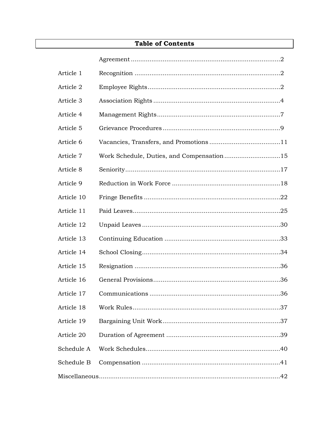| Article 1  |                                           |
|------------|-------------------------------------------|
| Article 2  |                                           |
| Article 3  |                                           |
| Article 4  |                                           |
| Article 5  |                                           |
| Article 6  |                                           |
| Article 7  | Work Schedule, Duties, and Compensation15 |
| Article 8  |                                           |
| Article 9  |                                           |
| Article 10 |                                           |
| Article 11 |                                           |
| Article 12 |                                           |
| Article 13 |                                           |
| Article 14 |                                           |
| Article 15 |                                           |
| Article 16 |                                           |
| Article 17 |                                           |
| Article 18 |                                           |
| Article 19 |                                           |
| Article 20 |                                           |
| Schedule A |                                           |
| Schedule B |                                           |
|            |                                           |

# **Table of Contents**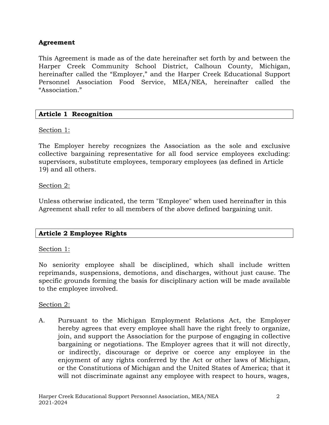# **Agreement**

This Agreement is made as of the date hereinafter set forth by and between the Harper Creek Community School District, Calhoun County, Michigan, hereinafter called the "Employer," and the Harper Creek Educational Support Personnel Association Food Service, MEA/NEA, hereinafter called the "Association."

# **Article 1 Recognition**

# Section 1:

The Employer hereby recognizes the Association as the sole and exclusive collective bargaining representative for all food service employees excluding: supervisors, substitute employees, temporary employees (as defined in Article 19) and all others.

## Section 2:

Unless otherwise indicated, the term "Employee" when used hereinafter in this Agreement shall refer to all members of the above defined bargaining unit.

# **Article 2 Employee Rights**

## Section 1:

No seniority employee shall be disciplined, which shall include written reprimands, suspensions, demotions, and discharges, without just cause. The specific grounds forming the basis for disciplinary action will be made available to the employee involved.

## Section 2:

A. Pursuant to the Michigan Employment Relations Act, the Employer hereby agrees that every employee shall have the right freely to organize, join, and support the Association for the purpose of engaging in collective bargaining or negotiations. The Employer agrees that it will not directly, or indirectly, discourage or deprive or coerce any employee in the enjoyment of any rights conferred by the Act or other laws of Michigan, or the Constitutions of Michigan and the United States of America; that it will not discriminate against any employee with respect to hours, wages,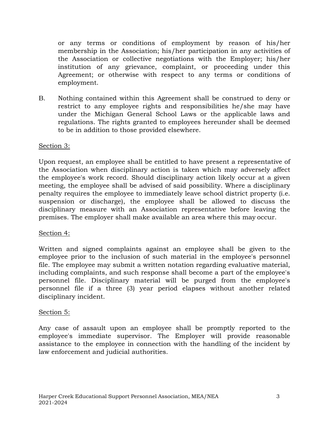or any terms or conditions of employment by reason of his/her membership in the Association; his/her participation in any activities of the Association or collective negotiations with the Employer; his/her institution of any grievance, complaint, or proceeding under this Agreement; or otherwise with respect to any terms or conditions of employment.

B. Nothing contained within this Agreement shall be construed to deny or restrict to any employee rights and responsibilities he/she may have under the Michigan General School Laws or the applicable laws and regulations. The rights granted to employees hereunder shall be deemed to be in addition to those provided elsewhere.

## Section 3:

Upon request, an employee shall be entitled to have present a representative of the Association when disciplinary action is taken which may adversely affect the employee's work record. Should disciplinary action likely occur at a given meeting, the employee shall be advised of said possibility. Where a disciplinary penalty requires the employee to immediately leave school district property (i.e. suspension or discharge), the employee shall be allowed to discuss the disciplinary measure with an Association representative before leaving the premises. The employer shall make available an area where this may occur.

## Section 4:

Written and signed complaints against an employee shall be given to the employee prior to the inclusion of such material in the employee's personnel file. The employee may submit a written notation regarding evaluative material, including complaints, and such response shall become a part of the employee's personnel file. Disciplinary material will be purged from the employee's personnel file if a three (3) year period elapses without another related disciplinary incident.

## Section 5:

Any case of assault upon an employee shall be promptly reported to the employee's immediate supervisor. The Employer will provide reasonable assistance to the employee in connection with the handling of the incident by law enforcement and judicial authorities.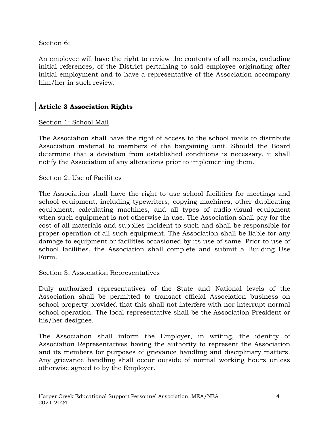# Section 6:

An employee will have the right to review the contents of all records, excluding initial references, of the District pertaining to said employee originating after initial employment and to have a representative of the Association accompany him/her in such review.

# **Article 3 Association Rights**

# Section 1: School Mail

The Association shall have the right of access to the school mails to distribute Association material to members of the bargaining unit. Should the Board determine that a deviation from established conditions is necessary, it shall notify the Association of any alterations prior to implementing them.

## Section 2: Use of Facilities

The Association shall have the right to use school facilities for meetings and school equipment, including typewriters, copying machines, other duplicating equipment, calculating machines, and all types of audio-visual equipment when such equipment is not otherwise in use. The Association shall pay for the cost of all materials and supplies incident to such and shall be responsible for proper operation of all such equipment. The Association shall be liable for any damage to equipment or facilities occasioned by its use of same. Prior to use of school facilities, the Association shall complete and submit a Building Use Form.

# Section 3: Association Representatives

Duly authorized representatives of the State and National levels of the Association shall be permitted to transact official Association business on school property provided that this shall not interfere with nor interrupt normal school operation. The local representative shall be the Association President or his/her designee.

The Association shall inform the Employer, in writing, the identity of Association Representatives having the authority to represent the Association and its members for purposes of grievance handling and disciplinary matters. Any grievance handling shall occur outside of normal working hours unless otherwise agreed to by the Employer.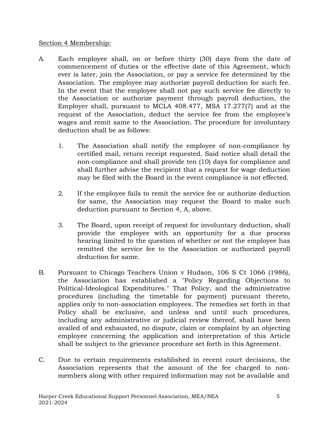## Section 4 Membership:

- A. Each employee shall, on or before thirty (30) days from the date of commencement of duties or the effective date of this Agreement, which ever is later, join the Association, or pay a service fee determined by the Association. The employee may authorize payroll deduction for such fee. In the event that the employee shall not pay such service fee directly to the Association or authorize payment through payroll deduction, the Employer shall, pursuant to MCLA 408.477, MSA 17.277(7) and at the request of the Association, deduct the service fee from the employee's wages and remit same to the Association. The procedure for involuntary deduction shall be as follows:
	- 1. The Association shall notify the employee of non-compliance by certified mail, return receipt requested. Said notice shall detail the non-compliance and shall provide ten (10) days for compliance and shall further advise the recipient that a request for wage deduction may be filed with the Board in the event compliance is not effected.
	- 2. If the employee fails to remit the service fee or authorize deduction for same, the Association may request the Board to make such deduction pursuant to Section 4, A, above.
	- 3. The Board, upon receipt of request for involuntary deduction, shall provide the employee with an opportunity for a due process hearing limited to the question of whether or not the employee has remitted the service fee to the Association or authorized payroll deduction for same.
- B. Pursuant to Chicago Teachers Union v Hudson, 106 S Ct 1066 (1986), the Association has established a "Policy Regarding Objections to Political-Ideological Expenditures." That Policy, and the administrative procedures (including the timetable for payment) pursuant thereto, applies only to non-association employees. The remedies set forth in that Policy shall be exclusive, and unless and until such procedures, including any administrative or judicial review thereof, shall have been availed of and exhausted, no dispute, claim or complaint by an objecting employee concerning the application and interpretation of this Article shall be subject to the grievance procedure set forth in this Agreement.
- C. Due to certain requirements established in recent court decisions, the Association represents that the amount of the fee charged to nonmembers along with other required information may not be available and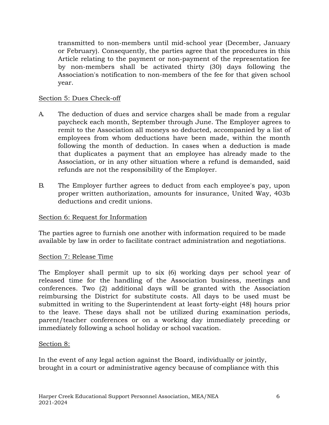transmitted to non-members until mid-school year (December, January or February). Consequently, the parties agree that the procedures in this Article relating to the payment or non-payment of the representation fee by non-members shall be activated thirty (30) days following the Association's notification to non-members of the fee for that given school year.

## Section 5: Dues Check-off

- A. The deduction of dues and service charges shall be made from a regular paycheck each month, September through June. The Employer agrees to remit to the Association all moneys so deducted, accompanied by a list of employees from whom deductions have been made, within the month following the month of deduction. In cases when a deduction is made that duplicates a payment that an employee has already made to the Association, or in any other situation where a refund is demanded, said refunds are not the responsibility of the Employer.
- B. The Employer further agrees to deduct from each employee's pay, upon proper written authorization, amounts for insurance, United Way, 403b deductions and credit unions.

## Section 6: Request for Information

The parties agree to furnish one another with information required to be made available by law in order to facilitate contract administration and negotiations.

## Section 7: Release Time

The Employer shall permit up to six (6) working days per school year of released time for the handling of the Association business, meetings and conferences. Two (2) additional days will be granted with the Association reimbursing the District for substitute costs. All days to be used must be submitted in writing to the Superintendent at least forty-eight (48) hours prior to the leave. These days shall not be utilized during examination periods, parent/teacher conferences or on a working day immediately preceding or immediately following a school holiday or school vacation.

# Section 8:

In the event of any legal action against the Board, individually or jointly, brought in a court or administrative agency because of compliance with this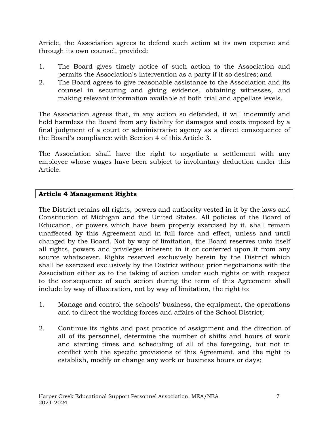Article, the Association agrees to defend such action at its own expense and through its own counsel, provided:

- 1. The Board gives timely notice of such action to the Association and permits the Association's intervention as a party if it so desires; and
- 2. The Board agrees to give reasonable assistance to the Association and its counsel in securing and giving evidence, obtaining witnesses, and making relevant information available at both trial and appellate levels.

The Association agrees that, in any action so defended, it will indemnify and hold harmless the Board from any liability for damages and costs imposed by a final judgment of a court or administrative agency as a direct consequence of the Board's compliance with Section 4 of this Article 3.

The Association shall have the right to negotiate a settlement with any employee whose wages have been subject to involuntary deduction under this Article.

# **Article 4 Management Rights**

The District retains all rights, powers and authority vested in it by the laws and Constitution of Michigan and the United States. All policies of the Board of Education, or powers which have been properly exercised by it, shall remain unaffected by this Agreement and in full force and effect, unless and until changed by the Board. Not by way of limitation, the Board reserves unto itself all rights, powers and privileges inherent in it or conferred upon it from any source whatsoever. Rights reserved exclusively herein by the District which shall be exercised exclusively by the District without prior negotiations with the Association either as to the taking of action under such rights or with respect to the consequence of such action during the term of this Agreement shall include by way of illustration, not by way of limitation, the right to:

- 1. Manage and control the schools' business, the equipment, the operations and to direct the working forces and affairs of the School District;
- 2. Continue its rights and past practice of assignment and the direction of all of its personnel, determine the number of shifts and hours of work and starting times and scheduling of all of the foregoing, but not in conflict with the specific provisions of this Agreement, and the right to establish, modify or change any work or business hours or days;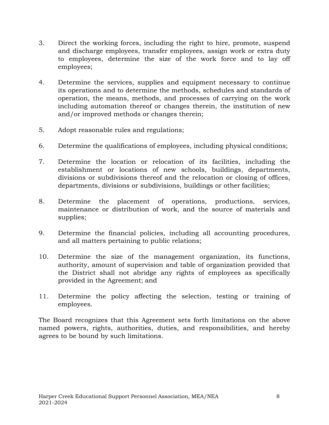- 3. Direct the working forces, including the right to hire, promote, suspend and discharge employees, transfer employees, assign work or extra duty to employees, determine the size of the work force and to lay off employees;
- 4. Determine the services, supplies and equipment necessary to continue its operations and to determine the methods, schedules and standards of operation, the means, methods, and processes of carrying on the work including automation thereof or changes therein, the institution of new and/or improved methods or changes therein;
- 5. Adopt reasonable rules and regulations;
- 6. Determine the qualifications of employees, including physical conditions;
- 7. Determine the location or relocation of its facilities, including the establishment or locations of new schools, buildings, departments, divisions or subdivisions thereof and the relocation or closing of offices, departments, divisions or subdivisions, buildings or other facilities;
- 8. Determine the placement of operations, productions, services, maintenance or distribution of work, and the source of materials and supplies;
- 9. Determine the financial policies, including all accounting procedures, and all matters pertaining to public relations;
- 10. Determine the size of the management organization, its functions, authority, amount of supervision and table of organization provided that the District shall not abridge any rights of employees as specifically provided in the Agreement; and
- 11. Determine the policy affecting the selection, testing or training of employees.

The Board recognizes that this Agreement sets forth limitations on the above named powers, rights, authorities, duties, and responsibilities, and hereby agrees to be bound by such limitations.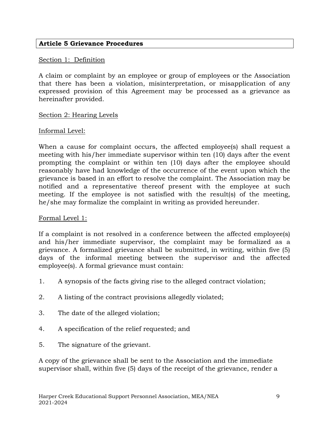## **Article 5 Grievance Procedures**

#### Section 1: Definition

A claim or complaint by an employee or group of employees or the Association that there has been a violation, misinterpretation, or misapplication of any expressed provision of this Agreement may be processed as a grievance as hereinafter provided.

#### Section 2: Hearing Levels

## Informal Level:

When a cause for complaint occurs, the affected employee(s) shall request a meeting with his/her immediate supervisor within ten (10) days after the event prompting the complaint or within ten (10) days after the employee should reasonably have had knowledge of the occurrence of the event upon which the grievance is based in an effort to resolve the complaint. The Association may be notified and a representative thereof present with the employee at such meeting. If the employee is not satisfied with the result(s) of the meeting, he/she may formalize the complaint in writing as provided hereunder.

## Formal Level 1:

If a complaint is not resolved in a conference between the affected employee(s) and his/her immediate supervisor, the complaint may be formalized as a grievance. A formalized grievance shall be submitted, in writing, within five (5) days of the informal meeting between the supervisor and the affected employee(s). A formal grievance must contain:

- 1. A synopsis of the facts giving rise to the alleged contract violation;
- 2. A listing of the contract provisions allegedly violated;
- 3. The date of the alleged violation;
- 4. A specification of the relief requested; and
- 5. The signature of the grievant.

A copy of the grievance shall be sent to the Association and the immediate supervisor shall, within five (5) days of the receipt of the grievance, render a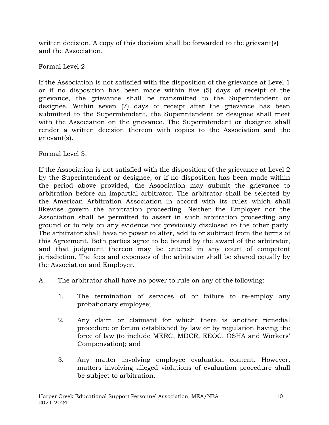written decision. A copy of this decision shall be forwarded to the grievant(s) and the Association.

# Formal Level 2:

If the Association is not satisfied with the disposition of the grievance at Level 1 or if no disposition has been made within five (5) days of receipt of the grievance, the grievance shall be transmitted to the Superintendent or designee. Within seven (7) days of receipt after the grievance has been submitted to the Superintendent, the Superintendent or designee shall meet with the Association on the grievance. The Superintendent or designee shall render a written decision thereon with copies to the Association and the grievant(s).

# Formal Level 3:

If the Association is not satisfied with the disposition of the grievance at Level 2 by the Superintendent or designee, or if no disposition has been made within the period above provided, the Association may submit the grievance to arbitration before an impartial arbitrator. The arbitrator shall be selected by the American Arbitration Association in accord with its rules which shall likewise govern the arbitration proceeding. Neither the Employer nor the Association shall be permitted to assert in such arbitration proceeding any ground or to rely on any evidence not previously disclosed to the other party. The arbitrator shall have no power to alter, add to or subtract from the terms of this Agreement. Both parties agree to be bound by the award of the arbitrator, and that judgment thereon may be entered in any court of competent jurisdiction. The fees and expenses of the arbitrator shall be shared equally by the Association and Employer.

- A. The arbitrator shall have no power to rule on any of the following:
	- 1. The termination of services of or failure to re-employ any probationary employee;
	- 2. Any claim or claimant for which there is another remedial procedure or forum established by law or by regulation having the force of law (to include MERC, MDCR, EEOC, OSHA and Workers' Compensation); and
	- 3. Any matter involving employee evaluation content. However, matters involving alleged violations of evaluation procedure shall be subject to arbitration.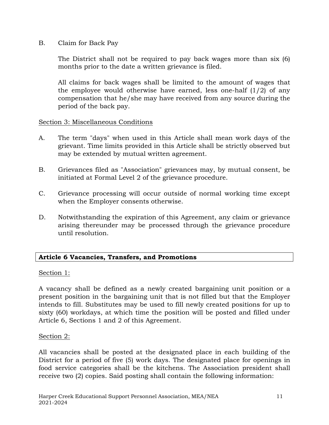B. Claim for Back Pay

The District shall not be required to pay back wages more than six (6) months prior to the date a written grievance is filed.

All claims for back wages shall be limited to the amount of wages that the employee would otherwise have earned, less one-half  $(1/2)$  of any compensation that he/she may have received from any source during the period of the back pay.

## Section 3: Miscellaneous Conditions

- A. The term "days" when used in this Article shall mean work days of the grievant. Time limits provided in this Article shall be strictly observed but may be extended by mutual written agreement.
- B. Grievances filed as "Association" grievances may, by mutual consent, be initiated at Formal Level 2 of the grievance procedure.
- C. Grievance processing will occur outside of normal working time except when the Employer consents otherwise.
- D. Notwithstanding the expiration of this Agreement, any claim or grievance arising thereunder may be processed through the grievance procedure until resolution.

# **Article 6 Vacancies, Transfers, and Promotions**

## Section 1:

A vacancy shall be defined as a newly created bargaining unit position or a present position in the bargaining unit that is not filled but that the Employer intends to fill. Substitutes may be used to fill newly created positions for up to sixty (60) workdays, at which time the position will be posted and filled under Article 6, Sections 1 and 2 of this Agreement.

# Section 2:

All vacancies shall be posted at the designated place in each building of the District for a period of five (5) work days. The designated place for openings in food service categories shall be the kitchens. The Association president shall receive two (2) copies. Said posting shall contain the following information: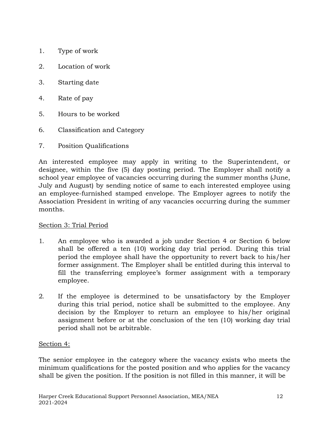- 1. Type of work
- 2. Location of work
- 3. Starting date
- 4. Rate of pay
- 5. Hours to be worked
- 6. Classification and Category
- 7. Position Qualifications

An interested employee may apply in writing to the Superintendent, or designee, within the five (5) day posting period. The Employer shall notify a school year employee of vacancies occurring during the summer months (June, July and August) by sending notice of same to each interested employee using an employee-furnished stamped envelope. The Employer agrees to notify the Association President in writing of any vacancies occurring during the summer months.

## Section 3: Trial Period

- 1. An employee who is awarded a job under Section 4 or Section 6 below shall be offered a ten (10) working day trial period. During this trial period the employee shall have the opportunity to revert back to his/her former assignment. The Employer shall be entitled during this interval to fill the transferring employee's former assignment with a temporary employee.
- 2. If the employee is determined to be unsatisfactory by the Employer during this trial period, notice shall be submitted to the employee. Any decision by the Employer to return an employee to his/her original assignment before or at the conclusion of the ten (10) working day trial period shall not be arbitrable.

# Section 4:

The senior employee in the category where the vacancy exists who meets the minimum qualifications for the posted position and who applies for the vacancy shall be given the position. If the position is not filled in this manner, it will be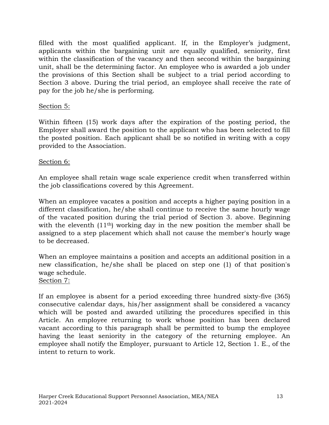filled with the most qualified applicant. If, in the Employer's judgment, applicants within the bargaining unit are equally qualified, seniority, first within the classification of the vacancy and then second within the bargaining unit, shall be the determining factor. An employee who is awarded a job under the provisions of this Section shall be subject to a trial period according to Section 3 above. During the trial period, an employee shall receive the rate of pay for the job he/she is performing.

## Section 5:

Within fifteen (15) work days after the expiration of the posting period, the Employer shall award the position to the applicant who has been selected to fill the posted position. Each applicant shall be so notified in writing with a copy provided to the Association.

## Section 6:

An employee shall retain wage scale experience credit when transferred within the job classifications covered by this Agreement.

When an employee vacates a position and accepts a higher paying position in a different classification, he/she shall continue to receive the same hourly wage of the vacated position during the trial period of Section 3. above. Beginning with the eleventh  $(11<sup>th</sup>)$  working day in the new position the member shall be assigned to a step placement which shall not cause the member's hourly wage to be decreased.

When an employee maintains a position and accepts an additional position in a new classification, he/she shall be placed on step one (1) of that position's wage schedule.

Section 7:

If an employee is absent for a period exceeding three hundred sixty-five (365) consecutive calendar days, his/her assignment shall be considered a vacancy which will be posted and awarded utilizing the procedures specified in this Article. An employee returning to work whose position has been declared vacant according to this paragraph shall be permitted to bump the employee having the least seniority in the category of the returning employee. An employee shall notify the Employer, pursuant to Article 12, Section 1. E., of the intent to return to work.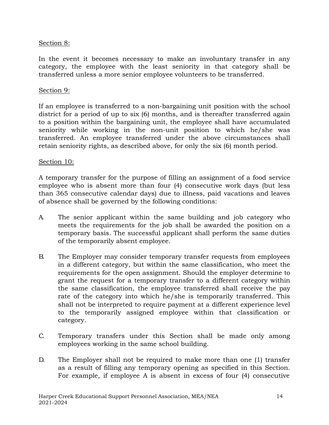# Section 8:

In the event it becomes necessary to make an involuntary transfer in any category, the employee with the least seniority in that category shall be transferred unless a more senior employee volunteers to be transferred.

#### Section 9:

If an employee is transferred to a non-bargaining unit position with the school district for a period of up to six (6) months, and is thereafter transferred again to a position within the bargaining unit, the employee shall have accumulated seniority while working in the non-unit position to which he/she was transferred. An employee transferred under the above circumstances shall retain seniority rights, as described above, for only the six (6) month period.

#### Section 10:

A temporary transfer for the purpose of filling an assignment of a food service employee who is absent more than four (4) consecutive work days (but less than 365 consecutive calendar days) due to illness, paid vacations and leaves of absence shall be governed by the following conditions:

- A. The senior applicant within the same building and job category who meets the requirements for the job shall be awarded the position on a temporary basis. The successful applicant shall perform the same duties of the temporarily absent employee.
- B. The Employer may consider temporary transfer requests from employees in a different category, but within the same classification, who meet the requirements for the open assignment. Should the employer determine to grant the request for a temporary transfer to a different category within the same classification, the employee transferred shall receive the pay rate of the category into which he/she is temporarily transferred. This shall not be interpreted to require payment at a different experience level to the temporarily assigned employee within that classification or category.
- C. Temporary transfers under this Section shall be made only among employees working in the same school building.
- D. The Employer shall not be required to make more than one (1) transfer as a result of filling any temporary opening as specified in this Section. For example, if employee A is absent in excess of four (4) consecutive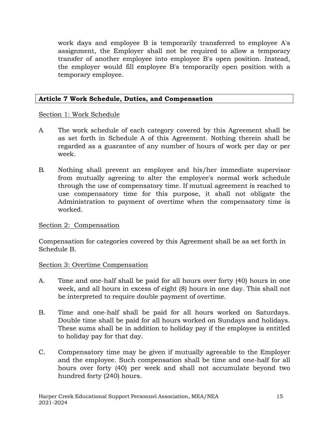work days and employee B is temporarily transferred to employee A's assignment, the Employer shall not be required to allow a temporary transfer of another employee into employee B's open position. Instead, the employer would fill employee B's temporarily open position with a temporary employee.

# **Article 7 Work Schedule, Duties, and Compensation**

# Section 1: Work Schedule

- A. The work schedule of each category covered by this Agreement shall be as set forth in Schedule A of this Agreement. Nothing therein shall be regarded as a guarantee of any number of hours of work per day or per week.
- B. Nothing shall prevent an employee and his/her immediate supervisor from mutually agreeing to alter the employee's normal work schedule through the use of compensatory time. If mutual agreement is reached to use compensatory time for this purpose, it shall not obligate the Administration to payment of overtime when the compensatory time is worked.

# Section 2: Compensation

Compensation for categories covered by this Agreement shall be as set forth in Schedule B.

# Section 3: Overtime Compensation

- A. Time and one-half shall be paid for all hours over forty (40) hours in one week, and all hours in excess of eight (8) hours in one day. This shall not be interpreted to require double payment of overtime.
- B. Time and one-half shall be paid for all hours worked on Saturdays. Double time shall be paid for all hours worked on Sundays and holidays. These sums shall be in addition to holiday pay if the employee is entitled to holiday pay for that day.
- C. Compensatory time may be given if mutually agreeable to the Employer and the employee. Such compensation shall be time and one-half for all hours over forty (40) per week and shall not accumulate beyond two hundred forty (240) hours.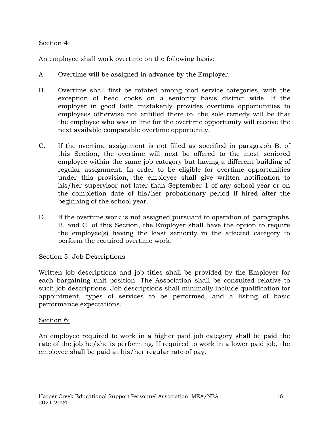# Section 4:

An employee shall work overtime on the following basis:

- A. Overtime will be assigned in advance by the Employer.
- B. Overtime shall first be rotated among food service categories, with the exception of head cooks on a seniority basis district wide. If the employer in good faith mistakenly provides overtime opportunities to employees otherwise not entitled there to, the sole remedy will be that the employee who was in line for the overtime opportunity will receive the next available comparable overtime opportunity.
- C. If the overtime assignment is not filled as specified in paragraph B. of this Section, the overtime will next be offered to the most seniored employee within the same job category but having a different building of regular assignment. In order to be eligible for overtime opportunities under this provision, the employee shall give written notification to his/her supervisor not later than September 1 of any school year or on the completion date of his/her probationary period if hired after the beginning of the school year.
- D. If the overtime work is not assigned pursuant to operation of paragraphs B. and C. of this Section, the Employer shall have the option to require the employee(s) having the least seniority in the affected category to perform the required overtime work.

# Section 5: Job Descriptions

Written job descriptions and job titles shall be provided by the Employer for each bargaining unit position. The Association shall be consulted relative to such job descriptions. Job descriptions shall minimally include qualification for appointment, types of services to be performed, and a listing of basic performance expectations.

# Section 6:

An employee required to work in a higher paid job category shall be paid the rate of the job he/she is performing. If required to work in a lower paid job, the employee shall be paid at his/her regular rate of pay.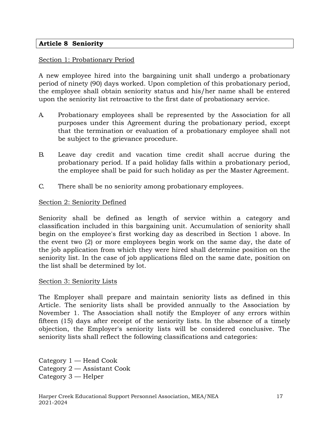## **Article 8 Seniority**

## Section 1: Probationary Period

A new employee hired into the bargaining unit shall undergo a probationary period of ninety (90) days worked. Upon completion of this probationary period, the employee shall obtain seniority status and his/her name shall be entered upon the seniority list retroactive to the first date of probationary service.

- A. Probationary employees shall be represented by the Association for all purposes under this Agreement during the probationary period, except that the termination or evaluation of a probationary employee shall not be subject to the grievance procedure.
- B. Leave day credit and vacation time credit shall accrue during the probationary period. If a paid holiday falls within a probationary period, the employee shall be paid for such holiday as per the Master Agreement.
- C. There shall be no seniority among probationary employees.

## Section 2: Seniority Defined

Seniority shall be defined as length of service within a category and classification included in this bargaining unit. Accumulation of seniority shall begin on the employee's first working day as described in Section 1 above. In the event two (2) or more employees begin work on the same day, the date of the job application from which they were hired shall determine position on the seniority list. In the case of job applications filed on the same date, position on the list shall be determined by lot.

## Section 3: Seniority Lists

The Employer shall prepare and maintain seniority lists as defined in this Article. The seniority lists shall be provided annually to the Association by November 1. The Association shall notify the Employer of any errors within fifteen (15) days after receipt of the seniority lists. In the absence of a timely objection, the Employer's seniority lists will be considered conclusive. The seniority lists shall reflect the following classifications and categories:

Category 1 — Head Cook Category 2 — Assistant Cook Category 3 — Helper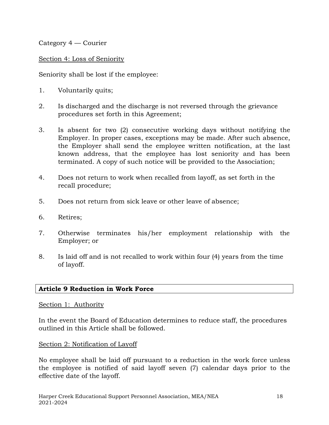Category 4 — Courier

Section 4: Loss of Seniority

Seniority shall be lost if the employee:

- 1. Voluntarily quits;
- 2. Is discharged and the discharge is not reversed through the grievance procedures set forth in this Agreement;
- 3. Is absent for two (2) consecutive working days without notifying the Employer. In proper cases, exceptions may be made. After such absence, the Employer shall send the employee written notification, at the last known address, that the employee has lost seniority and has been terminated. A copy of such notice will be provided to the Association;
- 4. Does not return to work when recalled from layoff, as set forth in the recall procedure;
- 5. Does not return from sick leave or other leave of absence;
- 6. Retires;
- 7. Otherwise terminates his/her employment relationship with the Employer; or
- 8. Is laid off and is not recalled to work within four (4) years from the time of layoff.

# **Article 9 Reduction in Work Force**

## Section 1: Authority

In the event the Board of Education determines to reduce staff, the procedures outlined in this Article shall be followed.

# Section 2: Notification of Layoff

No employee shall be laid off pursuant to a reduction in the work force unless the employee is notified of said layoff seven (7) calendar days prior to the effective date of the layoff.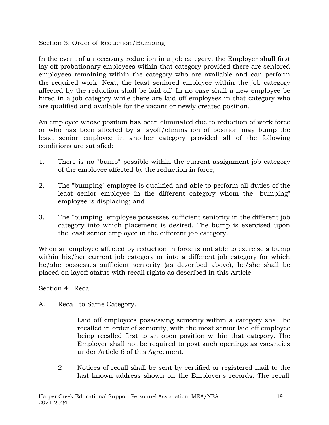# Section 3: Order of Reduction/Bumping

In the event of a necessary reduction in a job category, the Employer shall first lay off probationary employees within that category provided there are seniored employees remaining within the category who are available and can perform the required work. Next, the least seniored employee within the job category affected by the reduction shall be laid off. In no case shall a new employee be hired in a job category while there are laid off employees in that category who are qualified and available for the vacant or newly created position.

An employee whose position has been eliminated due to reduction of work force or who has been affected by a layoff/elimination of position may bump the least senior employee in another category provided all of the following conditions are satisfied:

- 1. There is no "bump" possible within the current assignment job category of the employee affected by the reduction in force;
- 2. The "bumping" employee is qualified and able to perform all duties of the least senior employee in the different category whom the "bumping" employee is displacing; and
- 3. The "bumping" employee possesses sufficient seniority in the different job category into which placement is desired. The bump is exercised upon the least senior employee in the different job category.

When an employee affected by reduction in force is not able to exercise a bump within his/her current job category or into a different job category for which he/she possesses sufficient seniority (as described above), he/she shall be placed on layoff status with recall rights as described in this Article.

# Section 4: Recall

- A. Recall to Same Category.
	- 1. Laid off employees possessing seniority within a category shall be recalled in order of seniority, with the most senior laid off employee being recalled first to an open position within that category. The Employer shall not be required to post such openings as vacancies under Article 6 of this Agreement.
	- 2. Notices of recall shall be sent by certified or registered mail to the last known address shown on the Employer's records. The recall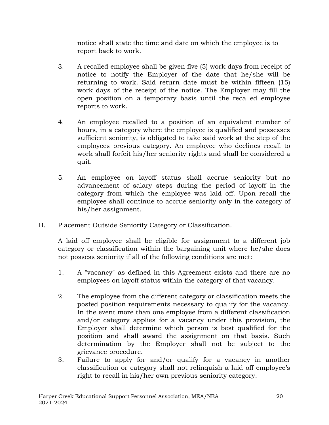notice shall state the time and date on which the employee is to report back to work.

- 3. A recalled employee shall be given five (5) work days from receipt of notice to notify the Employer of the date that he/she will be returning to work. Said return date must be within fifteen (15) work days of the receipt of the notice. The Employer may fill the open position on a temporary basis until the recalled employee reports to work.
- 4. An employee recalled to a position of an equivalent number of hours, in a category where the employee is qualified and possesses sufficient seniority, is obligated to take said work at the step of the employees previous category. An employee who declines recall to work shall forfeit his/her seniority rights and shall be considered a quit.
- 5. An employee on layoff status shall accrue seniority but no advancement of salary steps during the period of layoff in the category from which the employee was laid off. Upon recall the employee shall continue to accrue seniority only in the category of his/her assignment.
- B. Placement Outside Seniority Category or Classification.

A laid off employee shall be eligible for assignment to a different job category or classification within the bargaining unit where he/she does not possess seniority if all of the following conditions are met:

- 1. A "vacancy" as defined in this Agreement exists and there are no employees on layoff status within the category of that vacancy.
- 2. The employee from the different category or classification meets the posted position requirements necessary to qualify for the vacancy. In the event more than one employee from a different classification and/or category applies for a vacancy under this provision, the Employer shall determine which person is best qualified for the position and shall award the assignment on that basis. Such determination by the Employer shall not be subject to the grievance procedure.
- 3. Failure to apply for and/or qualify for a vacancy in another classification or category shall not relinquish a laid off employee's right to recall in his/her own previous seniority category.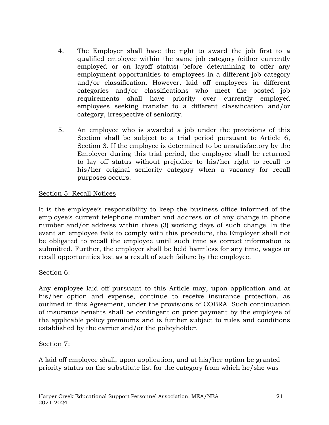- 4. The Employer shall have the right to award the job first to a qualified employee within the same job category (either currently employed or on layoff status) before determining to offer any employment opportunities to employees in a different job category and/or classification. However, laid off employees in different categories and/or classifications who meet the posted job requirements shall have priority over currently employed employees seeking transfer to a different classification and/or category, irrespective of seniority.
- 5. An employee who is awarded a job under the provisions of this Section shall be subject to a trial period pursuant to Article 6, Section 3. If the employee is determined to be unsatisfactory by the Employer during this trial period, the employee shall be returned to lay off status without prejudice to his/her right to recall to his/her original seniority category when a vacancy for recall purposes occurs.

# Section 5: Recall Notices

It is the employee's responsibility to keep the business office informed of the employee's current telephone number and address or of any change in phone number and/or address within three (3) working days of such change. In the event an employee fails to comply with this procedure, the Employer shall not be obligated to recall the employee until such time as correct information is submitted. Further, the employer shall be held harmless for any time, wages or recall opportunities lost as a result of such failure by the employee.

# Section 6:

Any employee laid off pursuant to this Article may, upon application and at his/her option and expense, continue to receive insurance protection, as outlined in this Agreement, under the provisions of COBRA. Such continuation of insurance benefits shall be contingent on prior payment by the employee of the applicable policy premiums and is further subject to rules and conditions established by the carrier and/or the policyholder.

# Section 7:

A laid off employee shall, upon application, and at his/her option be granted priority status on the substitute list for the category from which he/she was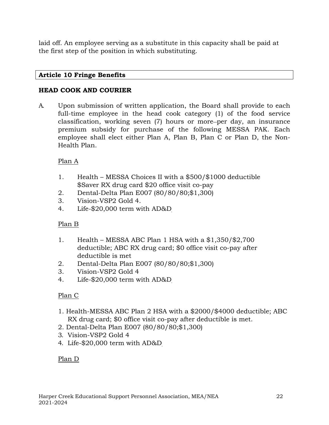laid off. An employee serving as a substitute in this capacity shall be paid at the first step of the position in which substituting.

# **Article 10 Fringe Benefits**

# **HEAD COOK AND COURIER**

A. Upon submission of written application, the Board shall provide to each full-time employee in the head cook category (1) of the food service classification, working seven (7) hours or more-per day, an insurance premium subsidy for purchase of the following MESSA PAK. Each employee shall elect either Plan A, Plan B, Plan C or Plan D, the Non-Health Plan.

# Plan A

- 1. Health MESSA Choices II with a \$500/\$1000 deductible \$Saver RX drug card \$20 office visit co-pay
- 2. Dental-Delta Plan E007 (80/80/80;\$1,300)
- 3. Vision-VSP2 Gold 4.
- 4. Life-\$20,000 term with AD&D

# Plan B

- 1. Health MESSA ABC Plan 1 HSA with a \$1,350/\$2,700 deductible; ABC RX drug card; \$0 office visit co-pay after deductible is met
- 2. Dental-Delta Plan E007 (80/80/80;\$1,300)
- 3. Vision-VSP2 Gold 4
- 4. Life-\$20,000 term with AD&D

# Plan C

- 1. Health-MESSA ABC Plan 2 HSA with a \$2000/\$4000 deductible; ABC RX drug card; \$0 office visit co-pay after deductible is met.
- 2. Dental-Delta Plan E007 (80/80/80;\$1,300)
- 3. Vision-VSP2 Gold 4
- 4. Life-\$20,000 term with AD&D

# Plan D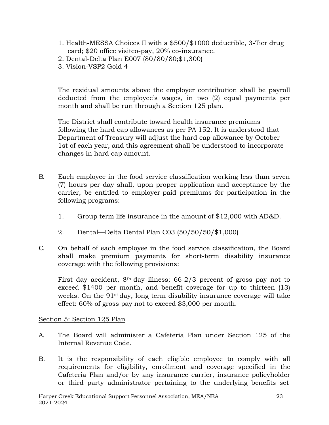- 1. Health-MESSA Choices II with a \$500/\$1000 deductible, 3-Tier drug card; \$20 office visitco-pay, 20% co-insurance.
- 2. Dental-Delta Plan E007 (80/80/80;\$1,300)
- 3. Vision-VSP2 Gold 4

The residual amounts above the employer contribution shall be payroll deducted from the employee's wages, in two (2) equal payments per month and shall be run through a Section 125 plan.

The District shall contribute toward health insurance premiums following the hard cap allowances as per PA 152. It is understood that Department of Treasury will adjust the hard cap allowance by October 1st of each year, and this agreement shall be understood to incorporate changes in hard cap amount.

- B. Each employee in the food service classification working less than seven (7) hours per day shall, upon proper application and acceptance by the carrier, be entitled to employer-paid premiums for participation in the following programs:
	- 1. Group term life insurance in the amount of \$12,000 with AD&D.
	- 2. Dental—Delta Dental Plan C03 (50/50/50/\$1,000)
- C. On behalf of each employee in the food service classification, the Board shall make premium payments for short-term disability insurance coverage with the following provisions:

First day accident,  $8<sup>th</sup>$  day illness; 66-2/3 percent of gross pay not to exceed \$1400 per month, and benefit coverage for up to thirteen (13) weeks. On the 91<sup>st</sup> day, long term disability insurance coverage will take effect: 60% of gross pay not to exceed \$3,000 per month.

## Section 5: Section 125 Plan

- A. The Board will administer a Cafeteria Plan under Section 125 of the Internal Revenue Code.
- B. It is the responsibility of each eligible employee to comply with all requirements for eligibility, enrollment and coverage specified in the Cafeteria Plan and/or by any insurance carrier, insurance policyholder or third party administrator pertaining to the underlying benefits set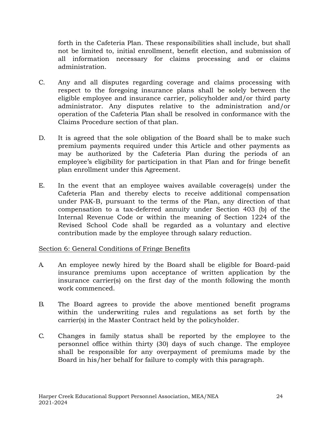forth in the Cafeteria Plan. These responsibilities shall include, but shall not be limited to, initial enrollment, benefit election, and submission of all information necessary for claims processing and or claims administration.

- C. Any and all disputes regarding coverage and claims processing with respect to the foregoing insurance plans shall be solely between the eligible employee and insurance carrier, policyholder and/or third party administrator. Any disputes relative to the administration and/or operation of the Cafeteria Plan shall be resolved in conformance with the Claims Procedure section of that plan.
- D. It is agreed that the sole obligation of the Board shall be to make such premium payments required under this Article and other payments as may be authorized by the Cafeteria Plan during the periods of an employee's eligibility for participation in that Plan and for fringe benefit plan enrollment under this Agreement.
- E. In the event that an employee waives available coverage(s) under the Cafeteria Plan and thereby elects to receive additional compensation under PAK-B, pursuant to the terms of the Plan, any direction of that compensation to a tax-deferred annuity under Section 403 (b) of the Internal Revenue Code or within the meaning of Section 1224 of the Revised School Code shall be regarded as a voluntary and elective contribution made by the employee through salary reduction.

# Section 6: General Conditions of Fringe Benefits

- A. An employee newly hired by the Board shall be eligible for Board-paid insurance premiums upon acceptance of written application by the insurance carrier(s) on the first day of the month following the month work commenced.
- B. The Board agrees to provide the above mentioned benefit programs within the underwriting rules and regulations as set forth by the carrier(s) in the Master Contract held by the policyholder.
- C. Changes in family status shall be reported by the employee to the personnel office within thirty (30) days of such change. The employee shall be responsible for any overpayment of premiums made by the Board in his/her behalf for failure to comply with this paragraph.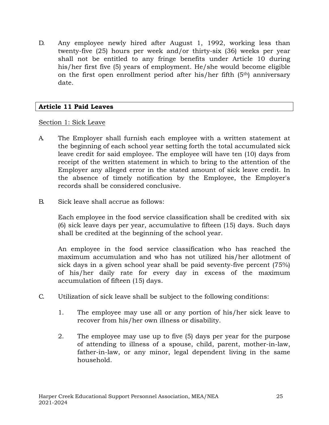D. Any employee newly hired after August 1, 1992, working less than twenty-five (25) hours per week and/or thirty-six (36) weeks per year shall not be entitled to any fringe benefits under Article 10 during his/her first five (5) years of employment. He/she would become eligible on the first open enrollment period after his/her fifth (5th) anniversary date.

## **Article 11 Paid Leaves**

## Section 1: Sick Leave

- A. The Employer shall furnish each employee with a written statement at the beginning of each school year setting forth the total accumulated sick leave credit for said employee. The employee will have ten (10) days from receipt of the written statement in which to bring to the attention of the Employer any alleged error in the stated amount of sick leave credit. In the absence of timely notification by the Employee, the Employer's records shall be considered conclusive.
- B. Sick leave shall accrue as follows:

Each employee in the food service classification shall be credited with six (6) sick leave days per year, accumulative to fifteen (15) days. Such days shall be credited at the beginning of the school year.

An employee in the food service classification who has reached the maximum accumulation and who has not utilized his/her allotment of sick days in a given school year shall be paid seventy-five percent (75%) of his/her daily rate for every day in excess of the maximum accumulation of fifteen (15) days.

- C. Utilization of sick leave shall be subject to the following conditions:
	- 1. The employee may use all or any portion of his/her sick leave to recover from his/her own illness or disability.
	- 2. The employee may use up to five (5) days per year for the purpose of attending to illness of a spouse, child, parent, mother-in-law, father-in-law, or any minor, legal dependent living in the same household.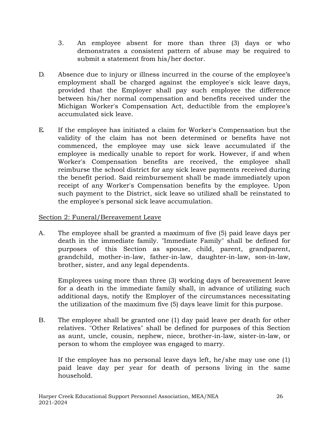- 3. An employee absent for more than three (3) days or who demonstrates a consistent pattern of abuse may be required to submit a statement from his/her doctor.
- D. Absence due to injury or illness incurred in the course of the employee's employment shall be charged against the employee's sick leave days, provided that the Employer shall pay such employee the difference between his/her normal compensation and benefits received under the Michigan Worker's Compensation Act, deductible from the employee's accumulated sick leave.
- E. If the employee has initiated a claim for Worker's Compensation but the validity of the claim has not been determined or benefits have not commenced, the employee may use sick leave accumulated if the employee is medically unable to report for work. However, if and when Worker's Compensation benefits are received, the employee shall reimburse the school district for any sick leave payments received during the benefit period. Said reimbursement shall be made immediately upon receipt of any Worker's Compensation benefits by the employee. Upon such payment to the District, sick leave so utilized shall be reinstated to the employee's personal sick leave accumulation.

# Section 2: Funeral/Bereavement Leave

A. The employee shall be granted a maximum of five (5) paid leave days per death in the immediate family. "Immediate Family" shall be defined for purposes of this Section as spouse, child, parent, grandparent, grandchild, mother-in-law, father-in-law, daughter-in-law, son-in-law, brother, sister, and any legal dependents.

Employees using more than three (3) working days of bereavement leave for a death in the immediate family shall, in advance of utilizing such additional days, notify the Employer of the circumstances necessitating the utilization of the maximum five (5) days leave limit for this purpose.

B. The employee shall be granted one (1) day paid leave per death for other relatives. "Other Relatives" shall be defined for purposes of this Section as aunt, uncle, cousin, nephew, niece, brother-in-law, sister-in-law, or person to whom the employee was engaged to marry.

If the employee has no personal leave days left, he/she may use one (1) paid leave day per year for death of persons living in the same household.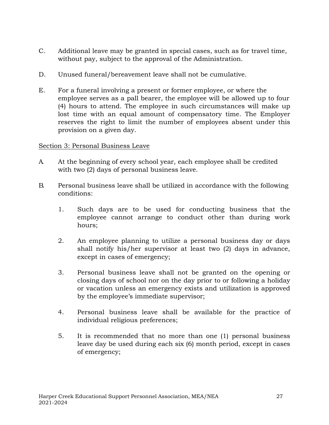- C. Additional leave may be granted in special cases, such as for travel time, without pay, subject to the approval of the Administration.
- D. Unused funeral/bereavement leave shall not be cumulative.
- E. For a funeral involving a present or former employee, or where the employee serves as a pall bearer, the employee will be allowed up to four (4) hours to attend. The employee in such circumstances will make up lost time with an equal amount of compensatory time. The Employer reserves the right to limit the number of employees absent under this provision on a given day.

## Section 3: Personal Business Leave

- A. At the beginning of every school year, each employee shall be credited with two (2) days of personal business leave.
- B. Personal business leave shall be utilized in accordance with the following conditions:
	- 1. Such days are to be used for conducting business that the employee cannot arrange to conduct other than during work hours;
	- 2. An employee planning to utilize a personal business day or days shall notify his/her supervisor at least two (2) days in advance, except in cases of emergency;
	- 3. Personal business leave shall not be granted on the opening or closing days of school nor on the day prior to or following a holiday or vacation unless an emergency exists and utilization is approved by the employee's immediate supervisor;
	- 4. Personal business leave shall be available for the practice of individual religious preferences;
	- 5. It is recommended that no more than one (1) personal business leave day be used during each six (6) month period, except in cases of emergency;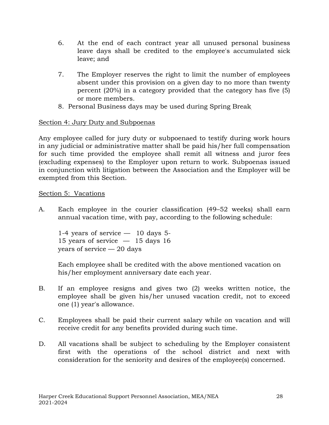- 6. At the end of each contract year all unused personal business leave days shall be credited to the employee's accumulated sick leave; and
- 7. The Employer reserves the right to limit the number of employees absent under this provision on a given day to no more than twenty percent (20%) in a category provided that the category has five (5) or more members.
- 8. Personal Business days may be used during Spring Break

## Section 4: Jury Duty and Subpoenas

Any employee called for jury duty or subpoenaed to testify during work hours in any judicial or administrative matter shall be paid his/her full compensation for such time provided the employee shall remit all witness and juror fees (excluding expenses) to the Employer upon return to work. Subpoenas issued in conjunction with litigation between the Association and the Employer will be exempted from this Section.

## Section 5: Vacations

A. Each employee in the courier classification (49–52 weeks) shall earn annual vacation time, with pay, according to the following schedule:

1-4 years of service — 10 days 5- 15 years of service  $-$  15 days 16 years of service — 20 days

Each employee shall be credited with the above mentioned vacation on his/her employment anniversary date each year.

- B. If an employee resigns and gives two (2) weeks written notice, the employee shall be given his/her unused vacation credit, not to exceed one (1) year's allowance.
- C. Employees shall be paid their current salary while on vacation and will receive credit for any benefits provided during such time.
- D. All vacations shall be subject to scheduling by the Employer consistent first with the operations of the school district and next with consideration for the seniority and desires of the employee(s) concerned.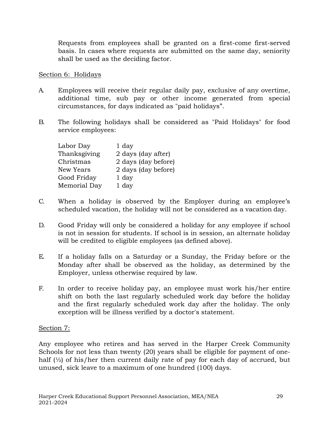Requests from employees shall be granted on a first-come first-served basis. In cases where requests are submitted on the same day, seniority shall be used as the deciding factor.

## Section 6: Holidays

- A. Employees will receive their regular daily pay, exclusive of any overtime, additional time, sub pay or other income generated from special circumstances, for days indicated as "paid holidays".
- B. The following holidays shall be considered as "Paid Holidays" for food service employees:

| Labor Day    | 1 day               |
|--------------|---------------------|
| Thanksgiving | 2 days (day after)  |
| Christmas    | 2 days (day before) |
| New Years    | 2 days (day before) |
| Good Friday  | 1 day               |
| Memorial Day | 1 day               |

- C. When a holiday is observed by the Employer during an employee's scheduled vacation, the holiday will not be considered as a vacation day.
- D. Good Friday will only be considered a holiday for any employee if school is not in session for students. If school is in session, an alternate holiday will be credited to eligible employees (as defined above).
- E. If a holiday falls on a Saturday or a Sunday, the Friday before or the Monday after shall be observed as the holiday, as determined by the Employer, unless otherwise required by law.
- F. In order to receive holiday pay, an employee must work his/her entire shift on both the last regularly scheduled work day before the holiday and the first regularly scheduled work day after the holiday. The only exception will be illness verified by a doctor's statement.

# Section 7:

Any employee who retires and has served in the Harper Creek Community Schools for not less than twenty (20) years shall be eligible for payment of onehalf  $\frac{1}{2}$  of his/her then current daily rate of pay for each day of accrued, but unused, sick leave to a maximum of one hundred (100) days.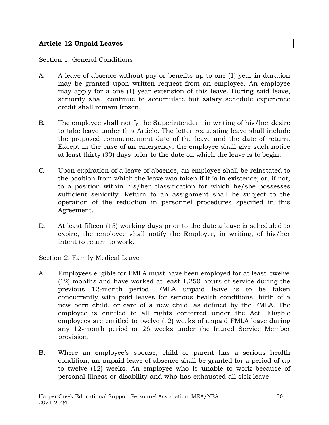# **Article 12 Unpaid Leaves**

#### Section 1: General Conditions

- A. A leave of absence without pay or benefits up to one (1) year in duration may be granted upon written request from an employee. An employee may apply for a one (1) year extension of this leave. During said leave, seniority shall continue to accumulate but salary schedule experience credit shall remain frozen.
- B. The employee shall notify the Superintendent in writing of his/her desire to take leave under this Article. The letter requesting leave shall include the proposed commencement date of the leave and the date of return. Except in the case of an emergency, the employee shall give such notice at least thirty (30) days prior to the date on which the leave is to begin.
- C. Upon expiration of a leave of absence, an employee shall be reinstated to the position from which the leave was taken if it is in existence; or, if not, to a position within his/her classification for which he/she possesses sufficient seniority. Return to an assignment shall be subject to the operation of the reduction in personnel procedures specified in this Agreement.
- D. At least fifteen (15) working days prior to the date a leave is scheduled to expire, the employee shall notify the Employer, in writing, of his/her intent to return to work.

## Section 2: Family Medical Leave

- A. Employees eligible for FMLA must have been employed for at least twelve (12) months and have worked at least 1,250 hours of service during the previous 12-month period. FMLA unpaid leave is to be taken concurrently with paid leaves for serious health conditions, birth of a new born child, or care of a new child, as defined by the FMLA. The employee is entitled to all rights conferred under the Act. Eligible employees are entitled to twelve (12) weeks of unpaid FMLA leave during any 12-month period or 26 weeks under the Inured Service Member provision.
- B. Where an employee's spouse, child or parent has a serious health condition, an unpaid leave of absence shall be granted for a period of up to twelve (12) weeks. An employee who is unable to work because of personal illness or disability and who has exhausted all sick leave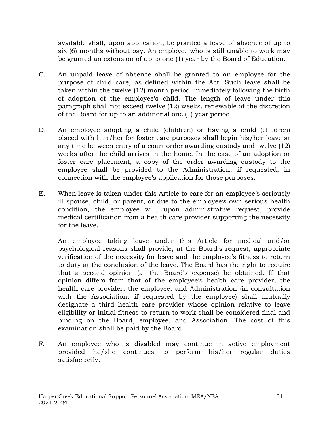available shall, upon application, be granted a leave of absence of up to six (6) months without pay. An employee who is still unable to work may be granted an extension of up to one (1) year by the Board of Education.

- C. An unpaid leave of absence shall be granted to an employee for the purpose of child care, as defined within the Act. Such leave shall be taken within the twelve (12) month period immediately following the birth of adoption of the employee's child. The length of leave under this paragraph shall not exceed twelve (12) weeks, renewable at the discretion of the Board for up to an additional one (1) year period.
- D. An employee adopting a child (children) or having a child (children) placed with him/her for foster care purposes shall begin his/her leave at any time between entry of a court order awarding custody and twelve (12) weeks after the child arrives in the home. In the case of an adoption or foster care placement, a copy of the order awarding custody to the employee shall be provided to the Administration, if requested, in connection with the employee's application for those purposes.
- E. When leave is taken under this Article to care for an employee's seriously ill spouse, child, or parent, or due to the employee's own serious health condition, the employee will, upon administrative request, provide medical certification from a health care provider supporting the necessity for the leave.

An employee taking leave under this Article for medical and/or psychological reasons shall provide, at the Board's request, appropriate verification of the necessity for leave and the employee's fitness to return to duty at the conclusion of the leave. The Board has the right to require that a second opinion (at the Board's expense) be obtained. If that opinion differs from that of the employee's health care provider, the health care provider, the employee, and Administration (in consultation with the Association, if requested by the employee) shall mutually designate a third health care provider whose opinion relative to leave eligibility or initial fitness to return to work shall be considered final and binding on the Board, employee, and Association. The cost of this examination shall be paid by the Board.

F. An employee who is disabled may continue in active employment provided he/she continues to perform his/her regular duties satisfactorily.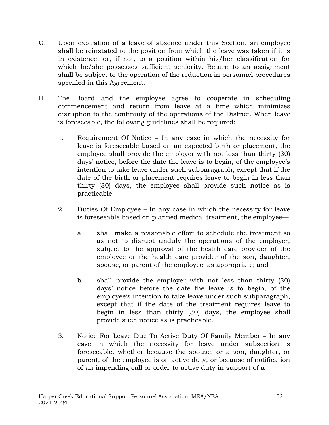- G. Upon expiration of a leave of absence under this Section, an employee shall be reinstated to the position from which the leave was taken if it is in existence; or, if not, to a position within his/her classification for which he/she possesses sufficient seniority. Return to an assignment shall be subject to the operation of the reduction in personnel procedures specified in this Agreement.
- H. The Board and the employee agree to cooperate in scheduling commencement and return from leave at a time which minimizes disruption to the continuity of the operations of the District. When leave is foreseeable, the following guidelines shall be required:
	- 1. Requirement Of Notice In any case in which the necessity for leave is foreseeable based on an expected birth or placement, the employee shall provide the employer with not less than thirty (30) days' notice, before the date the leave is to begin, of the employee's intention to take leave under such subparagraph, except that if the date of the birth or placement requires leave to begin in less than thirty (30) days, the employee shall provide such notice as is practicable.
	- 2. Duties Of Employee In any case in which the necessity for leave is foreseeable based on planned medical treatment, the employee
		- a. shall make a reasonable effort to schedule the treatment so as not to disrupt unduly the operations of the employer, subject to the approval of the health care provider of the employee or the health care provider of the son, daughter, spouse, or parent of the employee, as appropriate; and
		- b. shall provide the employer with not less than thirty (30) days' notice before the date the leave is to begin, of the employee's intention to take leave under such subparagraph, except that if the date of the treatment requires leave to begin in less than thirty (30) days, the employee shall provide such notice as is practicable.
	- 3. Notice For Leave Due To Active Duty Of Family Member In any case in which the necessity for leave under subsection is foreseeable, whether because the spouse, or a son, daughter, or parent, of the employee is on active duty, or because of notification of an impending call or order to active duty in support of a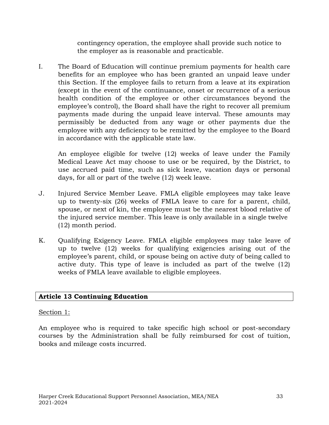contingency operation, the employee shall provide such notice to the employer as is reasonable and practicable.

I. The Board of Education will continue premium payments for health care benefits for an employee who has been granted an unpaid leave under this Section. If the employee fails to return from a leave at its expiration (except in the event of the continuance, onset or recurrence of a serious health condition of the employee or other circumstances beyond the employee's control), the Board shall have the right to recover all premium payments made during the unpaid leave interval. These amounts may permissibly be deducted from any wage or other payments due the employee with any deficiency to be remitted by the employee to the Board in accordance with the applicable state law.

An employee eligible for twelve (12) weeks of leave under the Family Medical Leave Act may choose to use or be required, by the District, to use accrued paid time, such as sick leave, vacation days or personal days, for all or part of the twelve (12) week leave.

- J. Injured Service Member Leave. FMLA eligible employees may take leave up to twenty-six (26) weeks of FMLA leave to care for a parent, child, spouse, or next of kin, the employee must be the nearest blood relative of the injured service member. This leave is only available in a single twelve (12) month period.
- K. Qualifying Exigency Leave. FMLA eligible employees may take leave of up to twelve (12) weeks for qualifying exigencies arising out of the employee's parent, child, or spouse being on active duty of being called to active duty. This type of leave is included as part of the twelve (12) weeks of FMLA leave available to eligible employees.

# **Article 13 Continuing Education**

## Section 1:

An employee who is required to take specific high school or post-secondary courses by the Administration shall be fully reimbursed for cost of tuition, books and mileage costs incurred.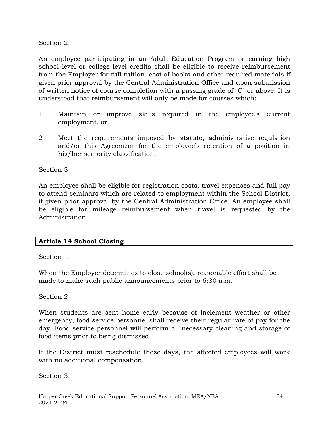# Section 2:

An employee participating in an Adult Education Program or earning high school level or college level credits shall be eligible to receive reimbursement from the Employer for full tuition, cost of books and other required materials if given prior approval by the Central Administration Office and upon submission of written notice of course completion with a passing grade of "C" or above. It is understood that reimbursement will only be made for courses which:

- 1. Maintain or improve skills required in the employee's current employment, or
- 2. Meet the requirements imposed by statute, administrative regulation and/or this Agreement for the employee's retention of a position in his/her seniority classification.

# Section 3:

An employee shall be eligible for registration costs, travel expenses and full pay to attend seminars which are related to employment within the School District, if given prior approval by the Central Administration Office. An employee shall be eligible for mileage reimbursement when travel is requested by the Administration.

# **Article 14 School Closing**

## Section 1:

When the Employer determines to close school(s), reasonable effort shall be made to make such public announcements prior to 6:30 a.m.

## Section 2:

When students are sent home early because of inclement weather or other emergency, food service personnel shall receive their regular rate of pay for the day. Food service personnel will perform all necessary cleaning and storage of food items prior to being dismissed.

If the District must reschedule those days, the affected employees will work with no additional compensation.

## Section 3: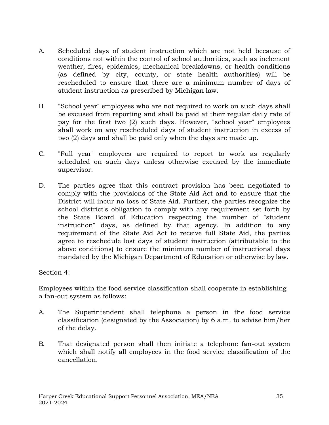- A. Scheduled days of student instruction which are not held because of conditions not within the control of school authorities, such as inclement weather, fires, epidemics, mechanical breakdowns, or health conditions (as defined by city, county, or state health authorities) will be rescheduled to ensure that there are a minimum number of days of student instruction as prescribed by Michigan law.
- B. "School year" employees who are not required to work on such days shall be excused from reporting and shall be paid at their regular daily rate of pay for the first two (2) such days. However, "school year" employees shall work on any rescheduled days of student instruction in excess of two (2) days and shall be paid only when the days are made up.
- C. "Full year" employees are required to report to work as regularly scheduled on such days unless otherwise excused by the immediate supervisor.
- D. The parties agree that this contract provision has been negotiated to comply with the provisions of the State Aid Act and to ensure that the District will incur no loss of State Aid. Further, the parties recognize the school district's obligation to comply with any requirement set forth by the State Board of Education respecting the number of "student instruction" days, as defined by that agency. In addition to any requirement of the State Aid Act to receive full State Aid, the parties agree to reschedule lost days of student instruction (attributable to the above conditions) to ensure the minimum number of instructional days mandated by the Michigan Department of Education or otherwise by law.

## Section 4:

Employees within the food service classification shall cooperate in establishing a fan-out system as follows:

- A. The Superintendent shall telephone a person in the food service classification (designated by the Association) by 6 a.m. to advise him/her of the delay.
- B. That designated person shall then initiate a telephone fan-out system which shall notify all employees in the food service classification of the cancellation.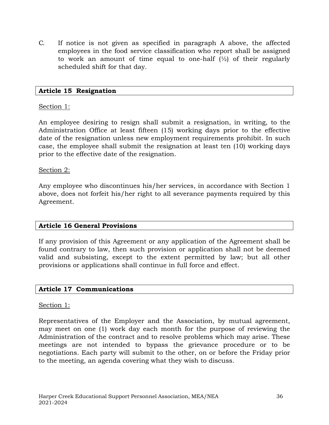C. If notice is not given as specified in paragraph A above, the affected employees in the food service classification who report shall be assigned to work an amount of time equal to one-half  $\frac{1}{2}$  of their regularly scheduled shift for that day.

#### **Article 15 Resignation**

#### Section 1:

An employee desiring to resign shall submit a resignation, in writing, to the Administration Office at least fifteen (15) working days prior to the effective date of the resignation unless new employment requirements prohibit. In such case, the employee shall submit the resignation at least ten (10) working days prior to the effective date of the resignation.

#### Section 2:

Any employee who discontinues his/her services, in accordance with Section 1 above, does not forfeit his/her right to all severance payments required by this Agreement.

## **Article 16 General Provisions**

If any provision of this Agreement or any application of the Agreement shall be found contrary to law, then such provision or application shall not be deemed valid and subsisting, except to the extent permitted by law; but all other provisions or applications shall continue in full force and effect.

#### **Article 17 Communications**

#### Section 1:

Representatives of the Employer and the Association, by mutual agreement, may meet on one (1) work day each month for the purpose of reviewing the Administration of the contract and to resolve problems which may arise. These meetings are not intended to bypass the grievance procedure or to be negotiations. Each party will submit to the other, on or before the Friday prior to the meeting, an agenda covering what they wish to discuss.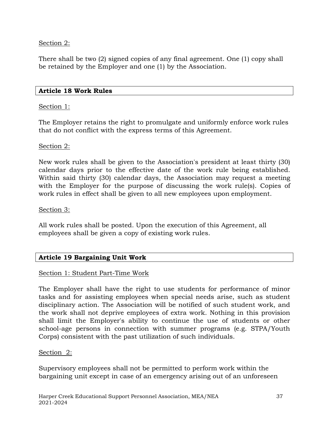# Section 2:

There shall be two (2) signed copies of any final agreement. One (1) copy shall be retained by the Employer and one (1) by the Association.

#### **Article 18 Work Rules**

## Section 1:

The Employer retains the right to promulgate and uniformly enforce work rules that do not conflict with the express terms of this Agreement.

#### Section 2:

New work rules shall be given to the Association's president at least thirty (30) calendar days prior to the effective date of the work rule being established. Within said thirty (30) calendar days, the Association may request a meeting with the Employer for the purpose of discussing the work rule(s). Copies of work rules in effect shall be given to all new employees upon employment.

#### Section 3:

All work rules shall be posted. Upon the execution of this Agreement, all employees shall be given a copy of existing work rules.

## **Article 19 Bargaining Unit Work**

## Section 1: Student Part-Time Work

The Employer shall have the right to use students for performance of minor tasks and for assisting employees when special needs arise, such as student disciplinary action. The Association will be notified of such student work, and the work shall not deprive employees of extra work. Nothing in this provision shall limit the Employer's ability to continue the use of students or other school-age persons in connection with summer programs (e.g. STPA/Youth Corps) consistent with the past utilization of such individuals.

#### Section 2:

Supervisory employees shall not be permitted to perform work within the bargaining unit except in case of an emergency arising out of an unforeseen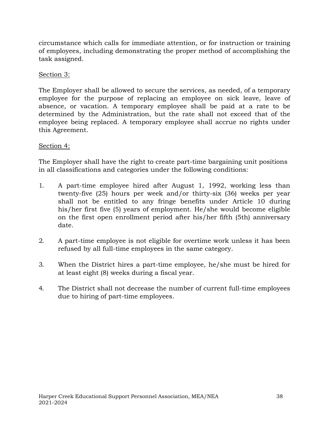circumstance which calls for immediate attention, or for instruction or training of employees, including demonstrating the proper method of accomplishing the task assigned.

# Section 3:

The Employer shall be allowed to secure the services, as needed, of a temporary employee for the purpose of replacing an employee on sick leave, leave of absence, or vacation. A temporary employee shall be paid at a rate to be determined by the Administration, but the rate shall not exceed that of the employee being replaced. A temporary employee shall accrue no rights under this Agreement.

# Section 4:

The Employer shall have the right to create part-time bargaining unit positions in all classifications and categories under the following conditions:

- 1. A part-time employee hired after August 1, 1992, working less than twenty-five (25) hours per week and/or thirty-six (36) weeks per year shall not be entitled to any fringe benefits under Article 10 during his/her first five (5) years of employment. He/she would become eligible on the first open enrollment period after his/her fifth (5th) anniversary date.
- 2. A part-time employee is not eligible for overtime work unless it has been refused by all full-time employees in the same category.
- 3. When the District hires a part-time employee, he/she must be hired for at least eight (8) weeks during a fiscal year.
- 4. The District shall not decrease the number of current full-time employees due to hiring of part-time employees.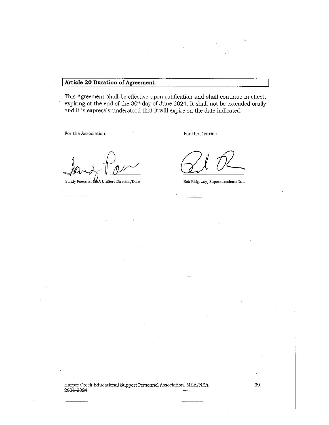#### **Article 20 Duration of Agreement**

This Agreement shall be effective upon ratification and shall continue in effect, expiring at the end of the 30th day of June 2024. It shall not be extended orally and it is expressly understood that it will expire on the date indicated.

For the Association:

For the District:

Sandy Paesens, MEA UniServ Director/Date

Rob Ridgeway, Superintendent/Date

Harper Creek Educational Support Personnel Association, MEA/NEA  $2021 - 2024$ 

-2024

39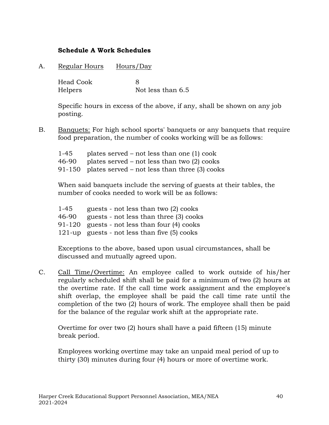## **Schedule A Work Schedules**

A. Regular Hours Hours/Day

Head Cook 8 Helpers Not less than 6.5

Specific hours in excess of the above, if any, shall be shown on any job posting.

B. Banquets: For high school sports' banquets or any banquets that require food preparation, the number of cooks working will be as follows:

| 1-45  | plates served $-$ not less than one (1) cook           |
|-------|--------------------------------------------------------|
| 46-90 | plates served $-$ not less than two $(2)$ cooks        |
|       | $91-150$ plates served – not less than three (3) cooks |

When said banquets include the serving of guests at their tables, the number of cooks needed to work will be as follows:

| $1 - 45$ | guests - not less than two (2) cooks           |
|----------|------------------------------------------------|
| 46-90    | guests - not less than three (3) cooks         |
|          | $91-120$ guests - not less than four (4) cooks |
|          | 121-up guests - not less than five $(5)$ cooks |

Exceptions to the above, based upon usual circumstances, shall be discussed and mutually agreed upon.

C. Call Time/Overtime: An employee called to work outside of his/her regularly scheduled shift shall be paid for a minimum of two (2) hours at the overtime rate. If the call time work assignment and the employee's shift overlap, the employee shall be paid the call time rate until the completion of the two (2) hours of work. The employee shall then be paid for the balance of the regular work shift at the appropriate rate.

Overtime for over two (2) hours shall have a paid fifteen (15) minute break period.

Employees working overtime may take an unpaid meal period of up to thirty (30) minutes during four (4) hours or more of overtime work.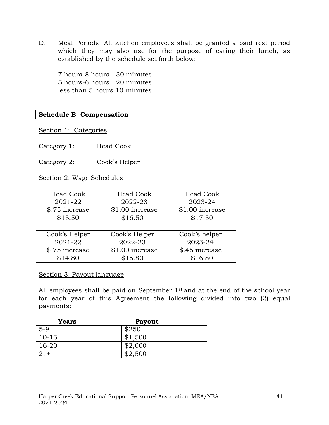D. Meal Periods: All kitchen employees shall be granted a paid rest period which they may also use for the purpose of eating their lunch, as established by the schedule set forth below:

7 hours-8 hours 30 minutes 5 hours-6 hours 20 minutes less than 5 hours 10 minutes

# **Schedule B Compensation**

Section 1: Categories

Category 1: Head Cook

Category 2: Cook's Helper

Section 2: Wage Schedules

| <b>Head Cook</b><br>2021-22<br>\$.75 increase | <b>Head Cook</b><br>2022-23<br>\$1.00 increase | <b>Head Cook</b><br>2023-24<br>\$1.00 increase |
|-----------------------------------------------|------------------------------------------------|------------------------------------------------|
| \$15.50                                       | \$16.50                                        | \$17.50                                        |
|                                               |                                                |                                                |
| Cook's Helper                                 | Cook's Helper                                  | Cook's helper                                  |
| 2021-22                                       | 2022-23                                        | 2023-24                                        |
| \$.75 increase                                | \$1.00 increase                                | \$.45 increase                                 |
| \$14.80                                       | \$15.80                                        | \$16.80                                        |

#### Section 3: Payout language

All employees shall be paid on September 1<sup>st</sup> and at the end of the school year for each year of this Agreement the following divided into two (2) equal payments:

| <b>Years</b> | <b>Payout</b> |  |
|--------------|---------------|--|
| $5-9$        | \$250         |  |
| $10 - 15$    | \$1,500       |  |
| $16 - 20$    | \$2,000       |  |
| $21+$        | \$2,500       |  |